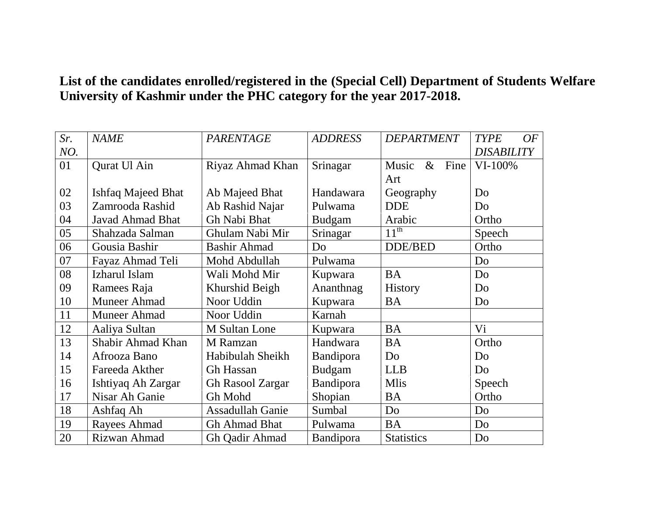## **List of the candidates enrolled/registered in the (Special Cell) Department of Students Welfare University of Kashmir under the PHC category for the year 2017-2018.**

| Sr.<br>NO. | <b>NAME</b>               | <b>PARENTAGE</b>        | <b>ADDRESS</b>   | <b>DEPARTMENT</b>            | <b>TYPE</b><br>OF<br><b>DISABILITY</b> |
|------------|---------------------------|-------------------------|------------------|------------------------------|----------------------------------------|
| 01         | Qurat Ul Ain              | Riyaz Ahmad Khan        | Srinagar         | Fine<br>$\&$<br>Music<br>Art | $VI-100\%$                             |
| 02         | <b>Ishfaq Majeed Bhat</b> | Ab Majeed Bhat          | Handawara        | Geography                    | Do                                     |
| 03         | Zamrooda Rashid           | Ab Rashid Najar         | Pulwama          | <b>DDE</b>                   | Do                                     |
| 04         | <b>Javad Ahmad Bhat</b>   | Gh Nabi Bhat            | <b>Budgam</b>    | Arabic                       | Ortho                                  |
| 05         | Shahzada Salman           | Ghulam Nabi Mir         | Srinagar         | $11^{th}$                    | Speech                                 |
| 06         | Gousia Bashir             | <b>Bashir Ahmad</b>     | Do               | DDE/BED                      | Ortho                                  |
| 07         | Fayaz Ahmad Teli          | Mohd Abdullah           | Pulwama          |                              | Do                                     |
| 08         | Izharul Islam             | Wali Mohd Mir           | Kupwara          | <b>BA</b>                    | Do                                     |
| 09         | Ramees Raja               | Khurshid Beigh          | Ananthnag        | <b>History</b>               | Do                                     |
| 10         | Muneer Ahmad              | Noor Uddin              | Kupwara          | <b>BA</b>                    | Do                                     |
| 11         | Muneer Ahmad              | Noor Uddin              | Karnah           |                              |                                        |
| 12         | Aaliya Sultan             | M Sultan Lone           | Kupwara          | <b>BA</b>                    | Vi                                     |
| 13         | Shabir Ahmad Khan         | M Ramzan                | Handwara         | <b>BA</b>                    | Ortho                                  |
| 14         | Afrooza Bano              | Habibulah Sheikh        | Bandipora        | Do                           | Do                                     |
| 15         | Fareeda Akther            | <b>Gh Hassan</b>        | <b>Budgam</b>    | <b>LLB</b>                   | Do                                     |
| 16         | Ishtiyaq Ah Zargar        | <b>Gh Rasool Zargar</b> | <b>Bandipora</b> | <b>Mlis</b>                  | Speech                                 |
| 17         | Nisar Ah Ganie            | Gh Mohd                 | Shopian          | BA                           | Ortho                                  |
| 18         | Ashfaq Ah                 | <b>Assadullah Ganie</b> | Sumbal           | Do                           | Do                                     |
| 19         | Rayees Ahmad              | <b>Gh Ahmad Bhat</b>    | Pulwama          | <b>BA</b>                    | Do                                     |
| 20         | Rizwan Ahmad              | Gh Qadir Ahmad          | Bandipora        | <b>Statistics</b>            | Do                                     |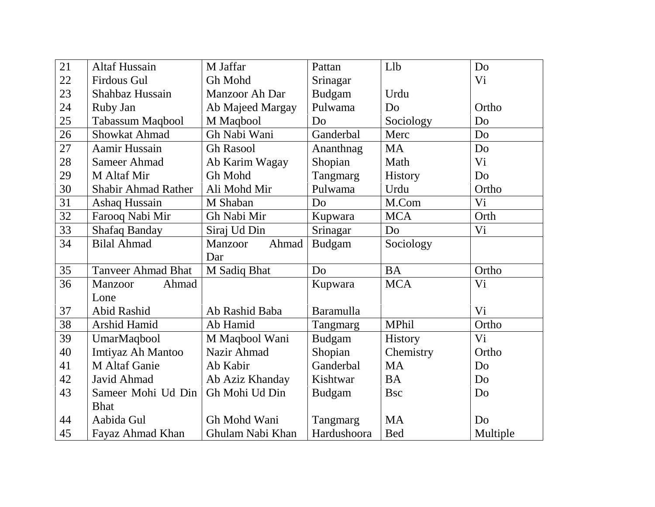| 21 | <b>Altaf Hussain</b>       | M Jaffar         | Pattan         | Llb            | Do             |
|----|----------------------------|------------------|----------------|----------------|----------------|
| 22 | <b>Firdous Gul</b>         | Gh Mohd          | Srinagar       |                | Vi             |
| 23 | Shahbaz Hussain            | Manzoor Ah Dar   | <b>Budgam</b>  | Urdu           |                |
| 24 | Ruby Jan                   | Ab Majeed Margay | Pulwama        | Do             | Ortho          |
| 25 | Tabassum Maqbool           | M Maqbool        | D <sub>o</sub> | Sociology      | Do             |
| 26 | <b>Showkat Ahmad</b>       | Gh Nabi Wani     | Ganderbal      | Merc           | Do             |
| 27 | Aamir Hussain              | <b>Gh Rasool</b> | Ananthnag      | <b>MA</b>      | Do             |
| 28 | Sameer Ahmad               | Ab Karim Wagay   | Shopian        | Math           | V <sub>i</sub> |
| 29 | M Altaf Mir                | Gh Mohd          | Tangmarg       | <b>History</b> | Do             |
| 30 | <b>Shabir Ahmad Rather</b> | Ali Mohd Mir     | Pulwama        | Urdu           | Ortho          |
| 31 | Ashaq Hussain              | M Shaban         | D <sub>o</sub> | M.Com          | Vi             |
| 32 | Farooq Nabi Mir            | Gh Nabi Mir      | Kupwara        | <b>MCA</b>     | Orth           |
| 33 | <b>Shafaq Banday</b>       | Siraj Ud Din     | Srinagar       | Do             | Vi             |
| 34 | <b>Bilal Ahmad</b>         | Ahmad<br>Manzoor | <b>Budgam</b>  | Sociology      |                |
|    |                            | Dar              |                |                |                |
| 35 | <b>Tanveer Ahmad Bhat</b>  | M Sadiq Bhat     | D <sub>0</sub> | <b>BA</b>      | Ortho          |
| 36 | Ahmad<br><b>Manzoor</b>    |                  | Kupwara        | <b>MCA</b>     | Vi             |
|    | Lone                       |                  |                |                |                |
| 37 | Abid Rashid                | Ab Rashid Baba   | Baramulla      |                | Vi             |
| 38 | <b>Arshid Hamid</b>        | Ab Hamid         | Tangmarg       | <b>MPhil</b>   | Ortho          |
| 39 | UmarMaqbool                | M Maqbool Wani   | <b>Budgam</b>  | History        | Vi             |
| 40 | Imtiyaz Ah Mantoo          | Nazir Ahmad      | Shopian        | Chemistry      | Ortho          |
| 41 | M Altaf Ganie              | Ab Kabir         | Ganderbal      | <b>MA</b>      | Do             |
| 42 | Javid Ahmad                | Ab Aziz Khanday  | Kishtwar       | <b>BA</b>      | Do             |
| 43 | Sameer Mohi Ud Din         | Gh Mohi Ud Din   | Budgam         | <b>B</b> sc    | Do             |
|    | <b>Bhat</b>                |                  |                |                |                |
| 44 | Aabida Gul                 | Gh Mohd Wani     | Tangmarg       | <b>MA</b>      | D <sub>o</sub> |
| 45 | Fayaz Ahmad Khan           | Ghulam Nabi Khan | Hardushoora    | <b>Bed</b>     | Multiple       |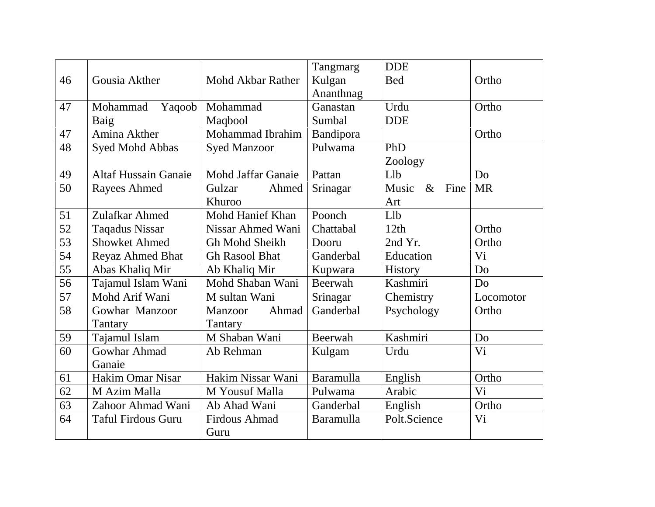|    |                             |                           | Tangmarg         | <b>DDE</b>            |                |
|----|-----------------------------|---------------------------|------------------|-----------------------|----------------|
| 46 | Gousia Akther               | Mohd Akbar Rather         | Kulgan           | <b>Bed</b>            | Ortho          |
|    |                             |                           | Ananthnag        |                       |                |
| 47 | Mohammad<br>Yaqoob          | Mohammad                  | Ganastan         | Urdu                  | Ortho          |
|    | Baig                        | Maqbool                   | Sumbal           | <b>DDE</b>            |                |
| 47 | Amina Akther                | Mohammad Ibrahim          | Bandipora        |                       | Ortho          |
| 48 | Syed Mohd Abbas             | <b>Syed Manzoor</b>       | Pulwama          | PhD                   |                |
|    |                             |                           |                  | Zoology               |                |
| 49 | <b>Altaf Hussain Ganaie</b> | <b>Mohd Jaffar Ganaie</b> | Pattan           | Llb                   | Do             |
| 50 | <b>Rayees Ahmed</b>         | Gulzar<br>Ahmed           | Srinagar         | Fine<br>Music<br>$\&$ | <b>MR</b>      |
|    |                             | Khuroo                    |                  | Art                   |                |
| 51 | Zulafkar Ahmed              | Mohd Hanief Khan          | Poonch           | L1b                   |                |
| 52 | <b>Taqadus Nissar</b>       | <b>Nissar Ahmed Wani</b>  | Chattabal        | 12th                  | Ortho          |
| 53 | <b>Showket Ahmed</b>        | Gh Mohd Sheikh            | Dooru            | 2nd Yr.               | Ortho          |
| 54 | <b>Reyaz Ahmed Bhat</b>     | <b>Gh Rasool Bhat</b>     | Ganderbal        | Education             | Vi             |
| 55 | Abas Khaliq Mir             | Ab Khaliq Mir             | Kupwara          | <b>History</b>        | Do             |
| 56 | Tajamul Islam Wani          | Mohd Shaban Wani          | Beerwah          | Kashmiri              | D <sub>o</sub> |
| 57 | Mohd Arif Wani              | M sultan Wani             | Srinagar         | Chemistry             | Locomotor      |
| 58 | Gowhar Manzoor              | Ahmad<br>Manzoor          | Ganderbal        | Psychology            | Ortho          |
|    | Tantary                     | Tantary                   |                  |                       |                |
| 59 | Tajamul Islam               | M Shaban Wani             | Beerwah          | Kashmiri              | D <sub>0</sub> |
| 60 | <b>Gowhar Ahmad</b>         | Ab Rehman                 | Kulgam           | Urdu                  | Vi             |
|    | Ganaie                      |                           |                  |                       |                |
| 61 | <b>Hakim Omar Nisar</b>     | Hakim Nissar Wani         | Baramulla        | English               | Ortho          |
| 62 | M Azim Malla                | M Yousuf Malla            | Pulwama          | Arabic                | Vi             |
| 63 | Zahoor Ahmad Wani           | Ab Ahad Wani              | Ganderbal        | English               | Ortho          |
| 64 | <b>Taful Firdous Guru</b>   | Firdous Ahmad             | <b>Baramulla</b> | Polt.Science          | Vi             |
|    |                             | Guru                      |                  |                       |                |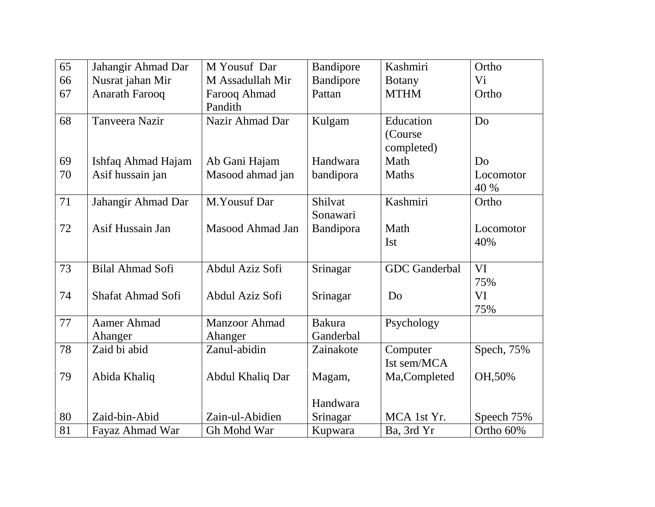| 65 | Jahangir Ahmad Dar       | M Yousuf Dar                    | Bandipore                  | Kashmiri                           | Ortho             |
|----|--------------------------|---------------------------------|----------------------------|------------------------------------|-------------------|
| 66 | Nusrat jahan Mir         | M Assadullah Mir                | Bandipore                  | <b>Botany</b>                      | Vi                |
| 67 | <b>Anarath Farooq</b>    | Farooq Ahmad<br>Pandith         | Pattan                     | <b>MTHM</b>                        | Ortho             |
| 68 | <b>Tanveera Nazir</b>    | Nazir Ahmad Dar                 | Kulgam                     | Education<br>(Course<br>completed) | D <sub>o</sub>    |
| 69 | Ishfaq Ahmad Hajam       | Ab Gani Hajam                   | Handwara                   | Math                               | D <sub>o</sub>    |
| 70 | Asif hussain jan         | Masood ahmad jan                | bandipora                  | <b>Maths</b>                       | Locomotor<br>40 % |
| 71 | Jahangir Ahmad Dar       | M.Yousuf Dar                    | Shilvat<br>Sonawari        | Kashmiri                           | Ortho             |
| 72 | Asif Hussain Jan         | Masood Ahmad Jan                | Bandipora                  | Math<br><b>Ist</b>                 | Locomotor<br>40%  |
| 73 | Bilal Ahmad Sofi         | Abdul Aziz Sofi                 | Srinagar                   | <b>GDC</b> Ganderbal               | VI<br>75%         |
| 74 | <b>Shafat Ahmad Sofi</b> | Abdul Aziz Sofi                 | Srinagar                   | D <sub>o</sub>                     | <b>VI</b><br>75%  |
| 77 | Aamer Ahmad<br>Ahanger   | <b>Manzoor Ahmad</b><br>Ahanger | <b>Bakura</b><br>Ganderbal | Psychology                         |                   |
| 78 | Zaid bi abid             | Zanul-abidin                    | Zainakote                  | Computer<br>Ist sem/MCA            | Spech, 75%        |
| 79 | Abida Khaliq             | Abdul Khaliq Dar                | Magam,                     | Ma, Completed                      | OH, 50%           |
|    |                          |                                 | Handwara                   |                                    |                   |
| 80 | Zaid-bin-Abid            | Zain-ul-Abidien                 | Srinagar                   | MCA 1st Yr.                        | Speech 75%        |
| 81 | Fayaz Ahmad War          | Gh Mohd War                     | Kupwara                    | Ba, 3rd Yr                         | Ortho 60%         |